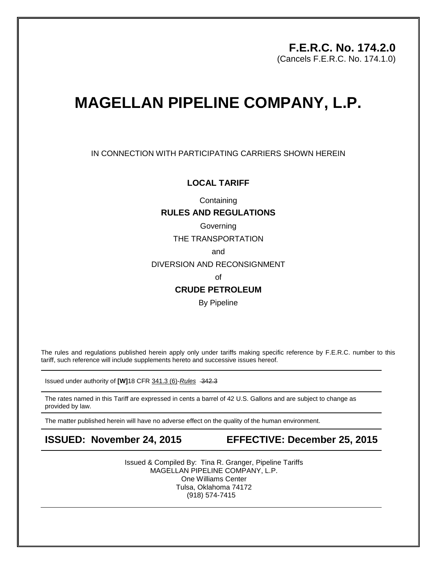## **F.E.R.C. No. 174.2.0**

(Cancels F.E.R.C. No. 174.1.0)

# **MAGELLAN PIPELINE COMPANY, L.P.**

IN CONNECTION WITH PARTICIPATING CARRIERS SHOWN HEREIN

#### **LOCAL TARIFF**

**Containing** 

#### **RULES AND REGULATIONS**

Governing

THE TRANSPORTATION

and

DIVERSION AND RECONSIGNMENT

of

### **CRUDE PETROLEUM**

By Pipeline

The rules and regulations published herein apply only under tariffs making specific reference by F.E.R.C. number to this tariff, such reference will include supplements hereto and successive issues hereof.

Issued under authority of [W]18 CFR 341.3 (6)-Rules -342.3

The rates named in this Tariff are expressed in cents a barrel of 42 U.S. Gallons and are subject to change as provided by law.

The matter published herein will have no adverse effect on the quality of the human environment.

**ISSUED: November 24, 2015 EFFECTIVE: December 25, 2015** 

Issued & Compiled By: Tina R. Granger, Pipeline Tariffs MAGELLAN PIPELINE COMPANY, L.P. One Williams Center Tulsa, Oklahoma 74172 (918) 574-7415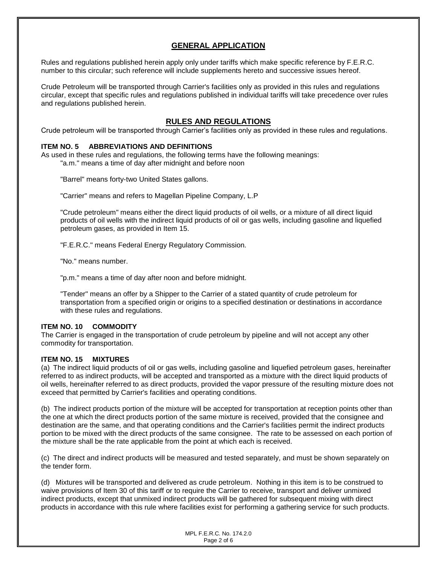### **GENERAL APPLICATION**

Rules and regulations published herein apply only under tariffs which make specific reference by F.E.R.C. number to this circular; such reference will include supplements hereto and successive issues hereof.

Crude Petroleum will be transported through Carrier's facilities only as provided in this rules and regulations circular, except that specific rules and regulations published in individual tariffs will take precedence over rules and regulations published herein.

#### **RULES AND REGULATIONS**

Crude petroleum will be transported through Carrier's facilities only as provided in these rules and regulations.

#### **ITEM NO. 5 ABBREVIATIONS AND DEFINITIONS**

As used in these rules and regulations, the following terms have the following meanings: "a.m." means a time of day after midnight and before noon

"Barrel" means forty-two United States gallons.

"Carrier" means and refers to Magellan Pipeline Company, L.P

"Crude petroleum" means either the direct liquid products of oil wells, or a mixture of all direct liquid products of oil wells with the indirect liquid products of oil or gas wells, including gasoline and liquefied petroleum gases, as provided in Item 15.

"F.E.R.C." means Federal Energy Regulatory Commission.

"No." means number.

"p.m." means a time of day after noon and before midnight.

"Tender" means an offer by a Shipper to the Carrier of a stated quantity of crude petroleum for transportation from a specified origin or origins to a specified destination or destinations in accordance with these rules and regulations.

#### **ITEM NO. 10 COMMODITY**

The Carrier is engaged in the transportation of crude petroleum by pipeline and will not accept any other commodity for transportation.

#### **ITEM NO. 15 MIXTURES**

(a) The indirect liquid products of oil or gas wells, including gasoline and liquefied petroleum gases, hereinafter referred to as indirect products, will be accepted and transported as a mixture with the direct liquid products of oil wells, hereinafter referred to as direct products, provided the vapor pressure of the resulting mixture does not exceed that permitted by Carrier's facilities and operating conditions.

(b) The indirect products portion of the mixture will be accepted for transportation at reception points other than the one at which the direct products portion of the same mixture is received, provided that the consignee and destination are the same, and that operating conditions and the Carrier's facilities permit the indirect products portion to be mixed with the direct products of the same consignee. The rate to be assessed on each portion of the mixture shall be the rate applicable from the point at which each is received.

(c) The direct and indirect products will be measured and tested separately, and must be shown separately on the tender form.

(d) Mixtures will be transported and delivered as crude petroleum. Nothing in this item is to be construed to waive provisions of Item 30 of this tariff or to require the Carrier to receive, transport and deliver unmixed indirect products, except that unmixed indirect products will be gathered for subsequent mixing with direct products in accordance with this rule where facilities exist for performing a gathering service for such products.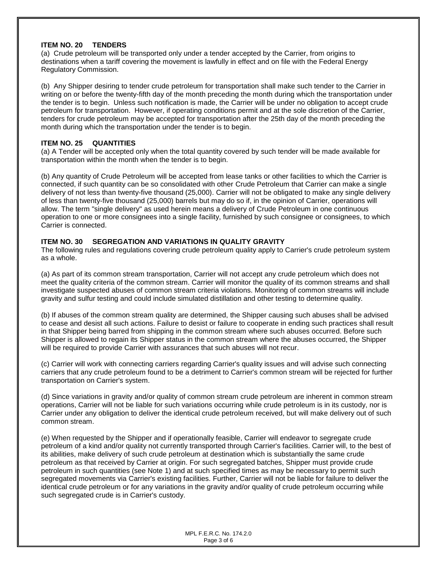#### **ITEM NO. 20 TENDERS**

(a) Crude petroleum will be transported only under a tender accepted by the Carrier, from origins to destinations when a tariff covering the movement is lawfully in effect and on file with the Federal Energy Regulatory Commission.

(b) Any Shipper desiring to tender crude petroleum for transportation shall make such tender to the Carrier in writing on or before the twenty-fifth day of the month preceding the month during which the transportation under the tender is to begin. Unless such notification is made, the Carrier will be under no obligation to accept crude petroleum for transportation. However, if operating conditions permit and at the sole discretion of the Carrier, tenders for crude petroleum may be accepted for transportation after the 25th day of the month preceding the month during which the transportation under the tender is to begin.

#### **ITEM NO. 25 QUANTITIES**

(a) A Tender will be accepted only when the total quantity covered by such tender will be made available for transportation within the month when the tender is to begin.

(b) Any quantity of Crude Petroleum will be accepted from lease tanks or other facilities to which the Carrier is connected, if such quantity can be so consolidated with other Crude Petroleum that Carrier can make a single delivery of not less than twenty-five thousand (25,000). Carrier will not be obligated to make any single delivery of less than twenty-five thousand (25,000) barrels but may do so if, in the opinion of Carrier, operations will allow. The term "single delivery" as used herein means a delivery of Crude Petroleum in one continuous operation to one or more consignees into a single facility, furnished by such consignee or consignees, to which Carrier is connected.

#### **ITEM NO. 30 SEGREGATION AND VARIATIONS IN QUALITY GRAVITY**

The following rules and regulations covering crude petroleum quality apply to Carrier's crude petroleum system as a whole.

(a) As part of its common stream transportation, Carrier will not accept any crude petroleum which does not meet the quality criteria of the common stream. Carrier will monitor the quality of its common streams and shall investigate suspected abuses of common stream criteria violations. Monitoring of common streams will include gravity and sulfur testing and could include simulated distillation and other testing to determine quality.

(b) If abuses of the common stream quality are determined, the Shipper causing such abuses shall be advised to cease and desist all such actions. Failure to desist or failure to cooperate in ending such practices shall result in that Shipper being barred from shipping in the common stream where such abuses occurred. Before such Shipper is allowed to regain its Shipper status in the common stream where the abuses occurred, the Shipper will be required to provide Carrier with assurances that such abuses will not recur.

(c) Carrier will work with connecting carriers regarding Carrier's quality issues and will advise such connecting carriers that any crude petroleum found to be a detriment to Carrier's common stream will be rejected for further transportation on Carrier's system.

(d) Since variations in gravity and/or quality of common stream crude petroleum are inherent in common stream operations, Carrier will not be liable for such variations occurring while crude petroleum is in its custody, nor is Carrier under any obligation to deliver the identical crude petroleum received, but will make delivery out of such common stream.

(e) When requested by the Shipper and if operationally feasible, Carrier will endeavor to segregate crude petroleum of a kind and/or quality not currently transported through Carrier's facilities. Carrier will, to the best of its abilities, make delivery of such crude petroleum at destination which is substantially the same crude petroleum as that received by Carrier at origin. For such segregated batches, Shipper must provide crude petroleum in such quantities (see Note 1) and at such specified times as may be necessary to permit such segregated movements via Carrier's existing facilities. Further, Carrier will not be liable for failure to deliver the identical crude petroleum or for any variations in the gravity and/or quality of crude petroleum occurring while such segregated crude is in Carrier's custody.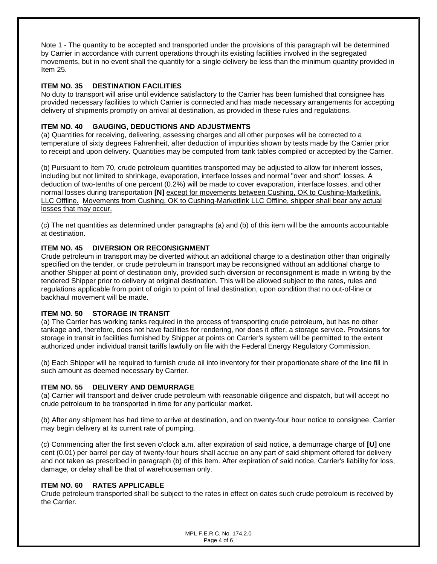Note 1 - The quantity to be accepted and transported under the provisions of this paragraph will be determined by Carrier in accordance with current operations through its existing facilities involved in the segregated movements, but in no event shall the quantity for a single delivery be less than the minimum quantity provided in Item 25.

#### **ITEM NO. 35 DESTINATION FACILITIES**

No duty to transport will arise until evidence satisfactory to the Carrier has been furnished that consignee has provided necessary facilities to which Carrier is connected and has made necessary arrangements for accepting delivery of shipments promptly on arrival at destination, as provided in these rules and regulations.

#### **ITEM NO. 40 GAUGING, DEDUCTIONS AND ADJUSTMENTS**

(a) Quantities for receiving, delivering, assessing charges and all other purposes will be corrected to a temperature of sixty degrees Fahrenheit, after deduction of impurities shown by tests made by the Carrier prior to receipt and upon delivery. Quantities may be computed from tank tables compiled or accepted by the Carrier.

(b) Pursuant to Item 70, crude petroleum quantities transported may be adjusted to allow for inherent losses, including but not limited to shrinkage, evaporation, interface losses and normal "over and short" losses. A deduction of two-tenths of one percent (0.2%) will be made to cover evaporation, interface losses, and other normal losses during transportation **[N]** except for movements between Cushing, OK to Cushing-Marketlink, LLC Offline. Movements from Cushing, OK to Cushing-Marketlink LLC Offline, shipper shall bear any actual losses that may occur.

(c) The net quantities as determined under paragraphs (a) and (b) of this item will be the amounts accountable at destination.

#### **ITEM NO. 45 DIVERSION OR RECONSIGNMENT**

Crude petroleum in transport may be diverted without an additional charge to a destination other than originally specified on the tender, or crude petroleum in transport may be reconsigned without an additional charge to another Shipper at point of destination only, provided such diversion or reconsignment is made in writing by the tendered Shipper prior to delivery at original destination. This will be allowed subject to the rates, rules and regulations applicable from point of origin to point of final destination, upon condition that no out-of-line or backhaul movement will be made.

#### **ITEM NO. 50 STORAGE IN TRANSIT**

(a) The Carrier has working tanks required in the process of transporting crude petroleum, but has no other tankage and, therefore, does not have facilities for rendering, nor does it offer, a storage service. Provisions for storage in transit in facilities furnished by Shipper at points on Carrier's system will be permitted to the extent authorized under individual transit tariffs lawfully on file with the Federal Energy Regulatory Commission.

(b) Each Shipper will be required to furnish crude oil into inventory for their proportionate share of the line fill in such amount as deemed necessary by Carrier.

#### **ITEM NO. 55 DELIVERY AND DEMURRAGE**

(a) Carrier will transport and deliver crude petroleum with reasonable diligence and dispatch, but will accept no crude petroleum to be transported in time for any particular market.

(b) After any shipment has had time to arrive at destination, and on twenty-four hour notice to consignee, Carrier may begin delivery at its current rate of pumping.

(c) Commencing after the first seven o'clock a.m. after expiration of said notice, a demurrage charge of **[U]** one cent (0.01) per barrel per day of twenty-four hours shall accrue on any part of said shipment offered for delivery and not taken as prescribed in paragraph (b) of this item. After expiration of said notice, Carrier's liability for loss, damage, or delay shall be that of warehouseman only.

#### **ITEM NO. 60 RATES APPLICABLE**

Crude petroleum transported shall be subject to the rates in effect on dates such crude petroleum is received by the Carrier.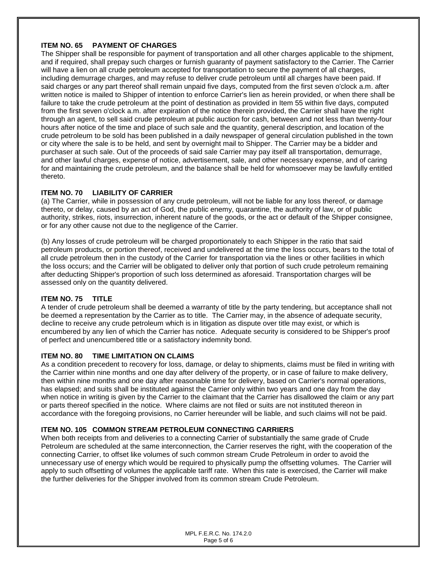### **ITEM NO. 65 PAYMENT OF CHARGES**

The Shipper shall be responsible for payment of transportation and all other charges applicable to the shipment, and if required, shall prepay such charges or furnish guaranty of payment satisfactory to the Carrier. The Carrier will have a lien on all crude petroleum accepted for transportation to secure the payment of all charges, including demurrage charges, and may refuse to deliver crude petroleum until all charges have been paid. If said charges or any part thereof shall remain unpaid five days, computed from the first seven o'clock a.m. after written notice is mailed to Shipper of intention to enforce Carrier's lien as herein provided, or when there shall be failure to take the crude petroleum at the point of destination as provided in Item 55 within five days, computed from the first seven o'clock a.m. after expiration of the notice therein provided, the Carrier shall have the right through an agent, to sell said crude petroleum at public auction for cash, between and not less than twenty-four hours after notice of the time and place of such sale and the quantity, general description, and location of the crude petroleum to be sold has been published in a daily newspaper of general circulation published in the town or city where the sale is to be held, and sent by overnight mail to Shipper. The Carrier may be a bidder and purchaser at such sale. Out of the proceeds of said sale Carrier may pay itself all transportation, demurrage, and other lawful charges, expense of notice, advertisement, sale, and other necessary expense, and of caring for and maintaining the crude petroleum, and the balance shall be held for whomsoever may be lawfully entitled thereto.

#### **ITEM NO. 70 LIABILITY OF CARRIER**

(a) The Carrier, while in possession of any crude petroleum, will not be liable for any loss thereof, or damage thereto, or delay, caused by an act of God, the public enemy, quarantine, the authority of law, or of public authority, strikes, riots, insurrection, inherent nature of the goods, or the act or default of the Shipper consignee, or for any other cause not due to the negligence of the Carrier.

(b) Any losses of crude petroleum will be charged proportionately to each Shipper in the ratio that said petroleum products, or portion thereof, received and undelivered at the time the loss occurs, bears to the total of all crude petroleum then in the custody of the Carrier for transportation via the lines or other facilities in which the loss occurs; and the Carrier will be obligated to deliver only that portion of such crude petroleum remaining after deducting Shipper's proportion of such loss determined as aforesaid. Transportation charges will be assessed only on the quantity delivered.

#### **ITEM NO. 75 TITLE**

A tender of crude petroleum shall be deemed a warranty of title by the party tendering, but acceptance shall not be deemed a representation by the Carrier as to title. The Carrier may, in the absence of adequate security, decline to receive any crude petroleum which is in litigation as dispute over title may exist, or which is encumbered by any lien of which the Carrier has notice. Adequate security is considered to be Shipper's proof of perfect and unencumbered title or a satisfactory indemnity bond.

#### **ITEM NO. 80 TIME LIMITATION ON CLAIMS**

As a condition precedent to recovery for loss, damage, or delay to shipments, claims must be filed in writing with the Carrier within nine months and one day after delivery of the property, or in case of failure to make delivery, then within nine months and one day after reasonable time for delivery, based on Carrier's normal operations, has elapsed; and suits shall be instituted against the Carrier only within two years and one day from the day when notice in writing is given by the Carrier to the claimant that the Carrier has disallowed the claim or any part or parts thereof specified in the notice. Where claims are not filed or suits are not instituted thereon in accordance with the foregoing provisions, no Carrier hereunder will be liable, and such claims will not be paid.

#### **ITEM NO. 105 COMMON STREAM PETROLEUM CONNECTING CARRIERS**

When both receipts from and deliveries to a connecting Carrier of substantially the same grade of Crude Petroleum are scheduled at the same interconnection, the Carrier reserves the right, with the cooperation of the connecting Carrier, to offset like volumes of such common stream Crude Petroleum in order to avoid the unnecessary use of energy which would be required to physically pump the offsetting volumes. The Carrier will apply to such offsetting of volumes the applicable tariff rate. When this rate is exercised, the Carrier will make the further deliveries for the Shipper involved from its common stream Crude Petroleum.